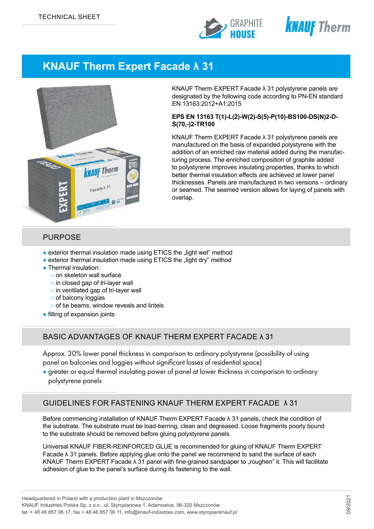



# **KNAUF Therm Expert Facade λ 31**



KNAUF Therm EXPERT Facade λ 31 polystyrene panels are designated by the following code according to PN-EN standard EN 13163:2012+A1:2015

#### **EPS EN 13163 T(1)-L(2)-W(2)-S(5)-P(10)-BS100-DS(N)2-D-S(70,-)2-TR100**

KNAUF Therm EXPERT Facade λ 31 polystyrene panels are manufactured on the basis of expanded polystyrene with the addition of an enriched raw material added during the manufacturing process. The enriched composition of graphite added to polystyrene improves insulating properties, thanks to which better thermal insulation effects are achieved at lower panel thicknesses. Panels are manufactured in two versions – ordinary or seamed. The seamed version allows for laying of panels with overlap.

### PURPOSE

- exterior thermal insulation made using ETICS the "light wet" method
- exterior thermal insulation made using ETICS the "light dry" method
- Thermal insulation:
	- o on skeleton wall surface
	- o in closed gap of tri-layer wall
	- o in ventilated gap of tri-layer wall
	- of balcony loggias
	- o of tie beams, window reveals and lintels
- filling of expansion joints

### BASIC ADVANTAGES OF KNAUF THERM EXPERT FACADE λ 31

Approx. 30% lower panel thickness in comparison to ordinary polystyrene (possibility of using panel on balconies and loggies without significant losses of residential space)

● greater or equal thermal insulating power of panel at lower thickness in comparison to ordinary polystyrene panels

# GUIDELINES FOR FASTENING KNAUF THERM EXPERT FACADE λ 31

Before commencing installation of KNAUF Therm EXPERT Facade λ 31 panels, check the condition of the substrate. The substrate must be load-berring, clean and degreased. Loose fragments poorly bound to the substrate should be removed before gluing polystyrene panels.

Universal KNAUF FIBER-REINFORCED GLUE is recommended for gluing of KNAUF Therm EXPERT Facade λ 31 panels. Before applying glue onto the panel we recommend to sand the surface of each KNAUF Therm EXPERT Facade  $\lambda$  31 panel with fine-grained sandpaper to "roughen" it. This will facilitate adhesion of glue to the panel's surface during its fastening to the wall.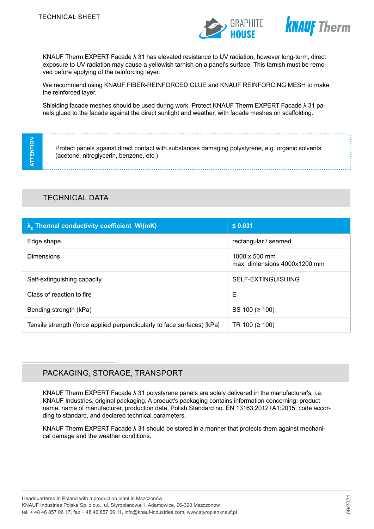



KNAUF Therm EXPERT Facade λ 31 has elevated resistance to UV radiation, however long-term, direct exposure to UV radiation may cause a yellowish tarnish on a panel's surface. This tarnish must be removed before applying of the reinforcing layer.

We recommend using KNAUF FIBER-REINFORCED GLUE and KNAUF REINFORCING MESH to make the reinforced layer.

Shielding facade meshes should be used during work. Protect KNAUF Therm EXPERT Facade λ 31 panels glued to the facade against the direct sunlight and weather, with facade meshes on scaffolding.

**ATTENTION ATTENTION** 

Protect panels against direct contact with substances damaging polystyrene, e.g. organic solvents (acetone, nitroglycerin, benzene, etc.)

# TECHNICAL DATA

| $\lambda_{\rm n}$ Thermal conductivity coefficient W/(mK)               | $\leq 0.031$                                         |
|-------------------------------------------------------------------------|------------------------------------------------------|
| Edge shape                                                              | rectangular / seamed                                 |
| <b>Dimensions</b>                                                       | 1000 $\times$ 500 mm<br>max. dimensions 4000x1200 mm |
| Self-extinguishing capacity                                             | SELF-EXTINGUISHING                                   |
| Class of reaction to fire                                               | E                                                    |
| Bending strength (kPa)                                                  | BS 100 ( $\geq$ 100)                                 |
| Tensile strength (force applied perpendicularly to face surfaces) [kPa] | TR 100 ( $\geq$ 100)                                 |

# PACKAGING, STORAGE, TRANSPORT

KNAUF Therm EXPERT Facade λ 31 polystyrene panels are solely delivered in the manufacturer's, i.e. KNAUF Industries, original packaging. A product's packaging contains information concerning: product name, name of manufacturer, production date, Polish Standard no. EN 13163:2012+A1:2015, code according to standard, and declared technical parameters.

KNAUF Therm EXPERT Facade  $\lambda$  31 should be stored in a manner that protects them against mechanical damage and the weather conditions.